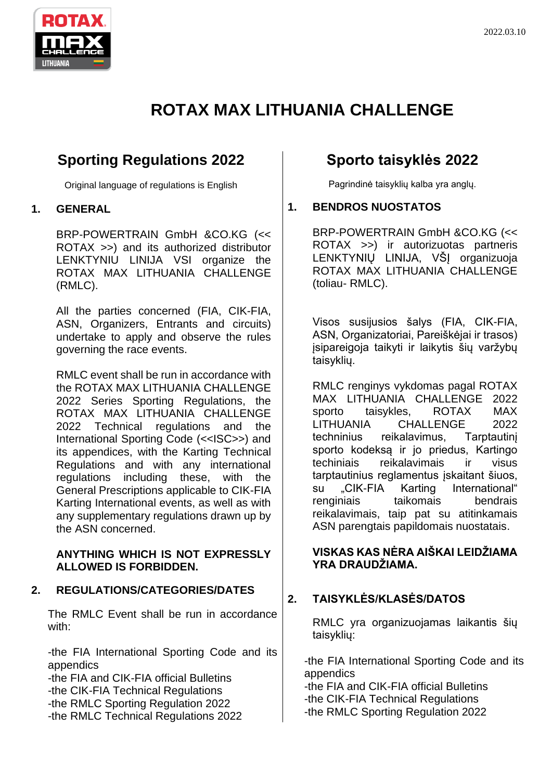

# **ROTAX MAX LITHUANIA CHALLENGE**

# **Sporting Regulations 2022**

Original language of regulations is English

### **1. GENERAL**

BRP-POWERTRAIN GmbH &CO.KG (<< ROTAX >>) and its authorized distributor LENKTYNIU LINIJA VSI organize the ROTAX MAX LITHUANIA CHALLENGE (RMLC).

All the parties concerned (FIA, CIK-FIA, ASN, Organizers, Entrants and circuits) undertake to apply and observe the rules governing the race events.

RMLC event shall be run in accordance with the ROTAX MAX LITHUANIA CHALLENGE 2022 Series Sporting Regulations, the ROTAX MAX LITHUANIA CHALLENGE 2022 Technical regulations and the International Sporting Code (<<ISC>>) and its appendices, with the Karting Technical Regulations and with any international regulations including these, with the General Prescriptions applicable to CIK-FIA Karting International events, as well as with any supplementary regulations drawn up by the ASN concerned.

#### **ANYTHING WHICH IS NOT EXPRESSLY ALLOWED IS FORBIDDEN.**

### **2. REGULATIONS/CATEGORIES/DATES**

The RMLC Event shall be run in accordance with:

-the FIA International Sporting Code and its appendics

-the FIA and CIK-FIA official Bulletins -the CIK-FIA Technical Regulations -the RMLC Sporting Regulation 2022 -the RMLC Technical Regulations 2022

# **Sporto taisyklės 2022**

Pagrindinė taisyklių kalba yra anglų.

### **1. BENDROS NUOSTATOS**

BRP-POWERTRAIN GmbH &CO.KG (<< ROTAX >>) ir autorizuotas partneris LENKTYNIŲ LINIJA, VŠĮ organizuoja ROTAX MAX LITHUANIA CHALLENGE (toliau- RMLC).

Visos susijusios šalys (FIA, CIK-FIA, ASN, Organizatoriai, Pareiškėjai ir trasos) įsipareigoja taikyti ir laikytis šių varžybų taisyklių.

RMLC renginys vykdomas pagal ROTAX MAX LITHUANIA CHALLENGE 2022 sporto taisykles, ROTAX MAX LITHUANIA CHALLENGE 2022 techninius reikalavimus, Tarptautinį sporto kodeksą ir jo priedus, Kartingo techiniais reikalavimais ir visus tarptautinius reglamentus įskaitant šiuos, su "CIK-FIA Karting International" renginiais taikomais bendrais reikalavimais, taip pat su atitinkamais ASN parengtais papildomais nuostatais.

### **VISKAS KAS NĖRA AIŠKAI LEIDŽIAMA YRA DRAUDŽIAMA.**

# **2. TAISYKLĖS/KLASĖS/DATOS**

RMLC yra organizuojamas laikantis šių taisyklių:

-the FIA International Sporting Code and its appendics

-the FIA and CIK-FIA official Bulletins -the CIK-FIA Technical Regulations -the RMLC Sporting Regulation 2022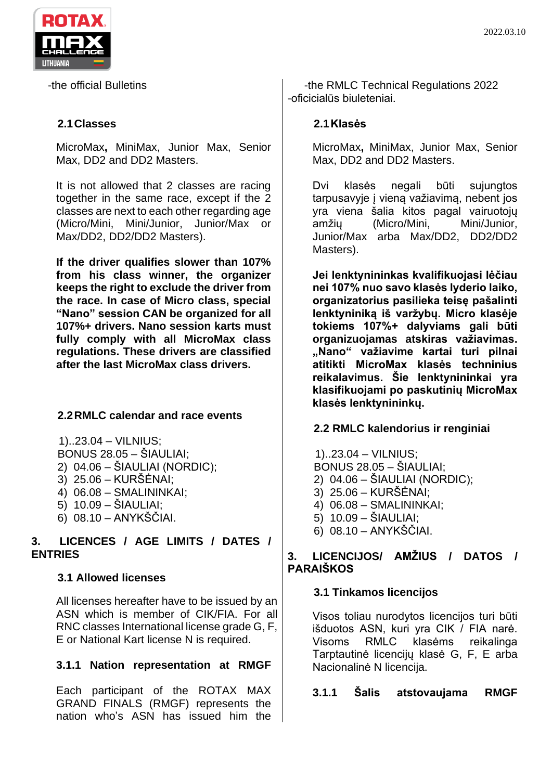

-the official Bulletins

### **2.1Classes**

MicroMax**,** MiniMax, Junior Max, Senior Max, DD2 and DD2 Masters.

It is not allowed that 2 classes are racing together in the same race, except if the 2 classes are next to each other regarding age (Micro/Mini, Mini/Junior, Junior/Max or Max/DD2, DD2/DD2 Masters).

**If the driver qualifies slower than 107% from his class winner, the organizer keeps the right to exclude the driver from the race. In case of Micro class, special "Nano" session CAN be organized for all 107%+ drivers. Nano session karts must fully comply with all MicroMax class regulations. These drivers are classified after the last MicroMax class drivers.**

### **2.2RMLC calendar and race events**

1)..23.04 – VILNIUS; BONUS 28.05 – ŠIAULIAI; 2) 04.06 – ŠIAULIAI (NORDIC); 3) 25.06 – KURŠĖNAI;

- 4) 06.08 SMALININKAI;
- 5) 10.09 ŠIAULIAI;
- 6) 08.10 ANYKŠČIAI.

### **3. LICENCES / AGE LIMITS / DATES / ENTRIES**

#### **3.1 Allowed licenses**

All licenses hereafter have to be issued by an ASN which is member of CIK/FIA. For all RNC classes International license grade G, F, E or National Kart license N is required.

### **3.1.1 Nation representation at RMGF**

Each participant of the ROTAX MAX GRAND FINALS (RMGF) represents the nation who's ASN has issued him the

-the RMLC Technical Regulations 2022 -oficicialūs biuleteniai.

### **2.1Klasės**

MicroMax**,** MiniMax, Junior Max, Senior Max, DD2 and DD2 Masters.

Dvi klasės negali būti sujungtos tarpusavyje į vieną važiavimą, nebent jos yra viena šalia kitos pagal vairuotojų amžių (Micro/Mini, Mini/Junior, Junior/Max arba Max/DD2, DD2/DD2 Masters).

**Jei lenktynininkas kvalifikuojasi lėčiau nei 107% nuo savo klasės lyderio laiko, organizatorius pasilieka teisę pašalinti lenktyniniką iš varžybų. Micro klasėje tokiems 107%+ dalyviams gali būti organizuojamas atskiras važiavimas. "Nano" važiavime kartai turi pilnai atitikti MicroMax klasės techninius reikalavimus. Šie lenktynininkai yra klasifikuojami po paskutinių MicroMax klasės lenktynininkų.**

### **2.2 RMLC kalendorius ir renginiai**

1)..23.04 – VILNIUS; BONUS 28.05 – ŠIAULIAI; 2) 04.06 – ŠIAULIAI (NORDIC); 3) 25.06 – KURŠĖNAI; 4) 06.08 – SMALININKAI; 5) 10.09 – ŠIAULIAI; 6) 08.10 – ANYKŠČIAI.

### **3. LICENCIJOS/ AMŽIUS / DATOS / PARAIŠKOS**

### **3.1 Tinkamos licencijos**

Visos toliau nurodytos licencijos turi būti išduotos ASN, kuri yra CIK / FIA narė. Visoms RMLC klasėms reikalinga Tarptautinė licencijų klasė G, F, E arba Nacionalinė N licencija.

**3.1.1 Šalis atstovaujama RMGF**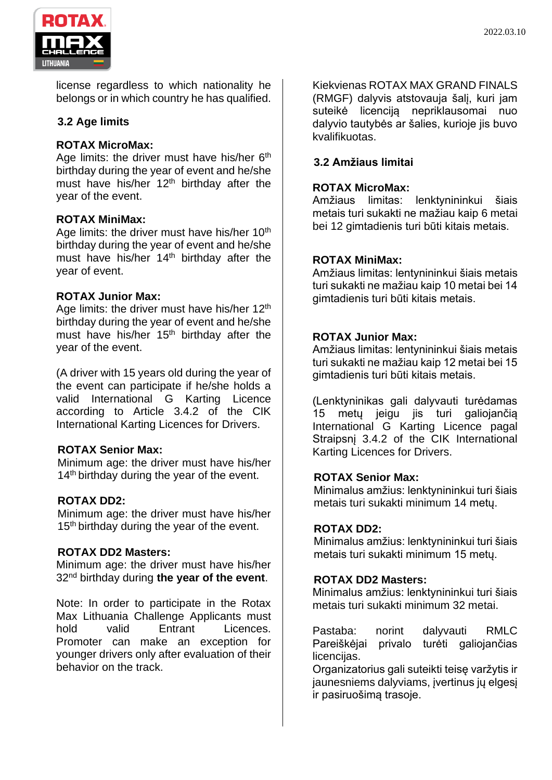



license regardless to which nationality he belongs or in which country he has qualified.

### **3.2 Age limits**

### **ROTAX MicroMax:**

Age limits: the driver must have his/her 6<sup>th</sup> birthday during the year of event and he/she must have his/her  $12<sup>th</sup>$  birthday after the year of the event.

### **ROTAX MiniMax:**

Age limits: the driver must have his/her 10<sup>th</sup> birthday during the year of event and he/she must have his/her 14<sup>th</sup> birthday after the year of event.

### **ROTAX Junior Max:**

Age limits: the driver must have his/her 12<sup>th</sup> birthday during the year of event and he/she must have his/her 15<sup>th</sup> birthday after the year of the event.

(A driver with 15 years old during the year of the event can participate if he/she holds a valid International G Karting Licence according to Article 3.4.2 of the CIK International Karting Licences for Drivers.

### **ROTAX Senior Max:**

Minimum age: the driver must have his/her 14<sup>th</sup> birthday during the year of the event.

### **ROTAX DD2:**

Minimum age: the driver must have his/her 15<sup>th</sup> birthday during the year of the event.

#### **ROTAX DD2 Masters:**

Minimum age: the driver must have his/her 32nd birthday during **the year of the event**.

Note: In order to participate in the Rotax Max Lithuania Challenge Applicants must hold valid Entrant Licences. Promoter can make an exception for younger drivers only after evaluation of their behavior on the track.

Kiekvienas ROTAX MAX GRAND FINALS (RMGF) dalyvis atstovauja šalį, kuri jam suteikė licenciją nepriklausomai nuo dalyvio tautybės ar šalies, kurioje jis buvo kvalifikuotas.

### **3.2 Amžiaus limitai**

### **ROTAX MicroMax:**

Amžiaus limitas: lenktynininkui šiais metais turi sukakti ne mažiau kaip 6 metai bei 12 gimtadienis turi būti kitais metais.

#### **ROTAX MiniMax:**

Amžiaus limitas: lentynininkui šiais metais turi sukakti ne mažiau kaip 10 metai bei 14 gimtadienis turi būti kitais metais.

### **ROTAX Junior Max:**

Amžiaus limitas: lentynininkui šiais metais turi sukakti ne mažiau kaip 12 metai bei 15 gimtadienis turi būti kitais metais.

(Lenktyninikas gali dalyvauti turėdamas 15 metų jeigu jis turi galiojančią International G Karting Licence pagal Straipsnį 3.4.2 of the CIK International Karting Licences for Drivers.

#### **ROTAX Senior Max:**

Minimalus amžius: lenktynininkui turi šiais metais turi sukakti minimum 14 metų.

#### **ROTAX DD2:**

Minimalus amžius: lenktynininkui turi šiais metais turi sukakti minimum 15 metų.

#### **ROTAX DD2 Masters:**

Minimalus amžius: lenktynininkui turi šiais metais turi sukakti minimum 32 metai.

Pastaba: norint dalyvauti RMLC Pareiškėjai privalo turėti galiojančias licencijas.

Organizatorius gali suteikti teisę varžytis ir jaunesniems dalyviams, įvertinus jų elgesį ir pasiruošimą trasoje.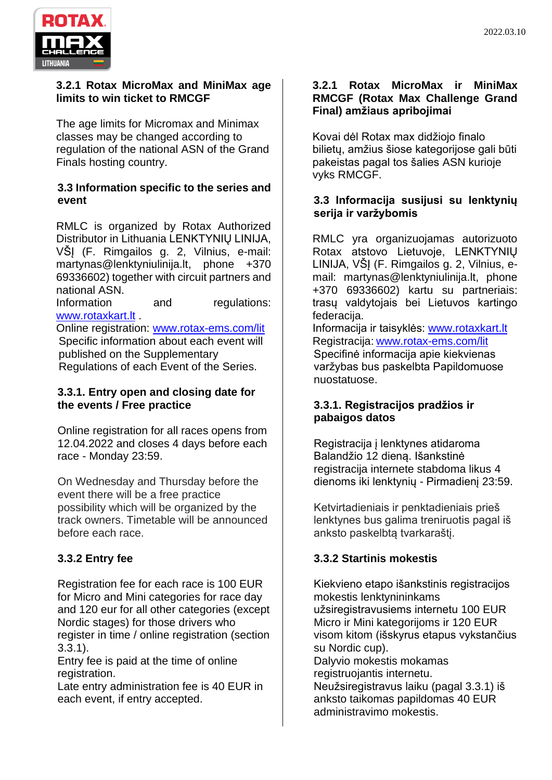

#### **3.2.1 Rotax MicroMax and MiniMax age limits to win ticket to RMCGF**

The age limits for Micromax and Minimax classes may be changed according to regulation of the national ASN of the Grand Finals hosting country.

### **3.3 Information specific to the series and event**

RMLC is organized by Rotax Authorized Distributor in Lithuania LENKTYNIŲ LINIJA, VŠĮ (F. Rimgailos g. 2, Vilnius, e-mail: martynas@lenktyniulinija.lt, phone +370 69336602) together with circuit partners and national ASN.

Information and regulations: [www.rotaxkart.lt](http://www.rotaxkart.lt/) .

Online registration: [www.rotax-ems.com/lit](http://www.rotax-ems.com/lit) Specific information about each event will published on the Supplementary Regulations of each Event of the Series.

### **3.3.1. Entry open and closing date for the events / Free practice**

Online registration for all races opens from 12.04.2022 and closes 4 days before each race - Monday 23:59.

On Wednesday and Thursday before the event there will be a free practice possibility which will be organized by the track owners. Timetable will be announced before each race.

# **3.3.2 Entry fee**

Registration fee for each race is 100 EUR for Micro and Mini categories for race day and 120 eur for all other categories (except Nordic stages) for those drivers who register in time / online registration (section 3.3.1).

Entry fee is paid at the time of online registration.

Late entry administration fee is 40 EUR in each event, if entry accepted.

### **3.2.1 Rotax MicroMax ir MiniMax RMCGF (Rotax Max Challenge Grand Final) amžiaus apribojimai**

Kovai dėl Rotax max didžiojo finalo bilietų, amžius šiose kategorijose gali būti pakeistas pagal tos šalies ASN kurioje vyks RMCGF.

### **3.3 Informacija susijusi su lenktynių serija ir varžybomis**

RMLC yra organizuojamas autorizuoto Rotax atstovo Lietuvoje, LENKTYNIŲ LINIJA, VŠĮ (F. Rimgailos g. 2, Vilnius, email: martynas@lenktyniulinija.lt, phone +370 69336602) kartu su partneriais: trasų valdytojais bei Lietuvos kartingo federacija.

Informacija ir taisyklės: [www.rotaxkart.lt](http://www.rotaxkart.lt/) Registracija: [www.rotax-ems.com/lit](http://www.rotax-ems.com/lit) Specifinė informacija apie kiekvienas varžybas bus paskelbta Papildomuose nuostatuose.

### **3.3.1. Registracijos pradžios ir pabaigos datos**

Registracija į lenktynes atidaroma Balandžio 12 dieną. Išankstinė registracija internete stabdoma likus 4 dienoms iki lenktynių - Pirmadienį 23:59.

Ketvirtadieniais ir penktadieniais prieš lenktynes bus galima treniruotis pagal iš anksto paskelbtą tvarkaraštį.

# **3.3.2 Startinis mokestis**

Kiekvieno etapo išankstinis registracijos mokestis lenktynininkams užsiregistravusiems internetu 100 EUR Micro ir Mini kategorijoms ir 120 EUR visom kitom (išskyrus etapus vykstančius su Nordic cup). Dalyvio mokestis mokamas registruojantis internetu. Neužsiregistravus laiku (pagal 3.3.1) iš anksto taikomas papildomas 40 EUR administravimo mokestis.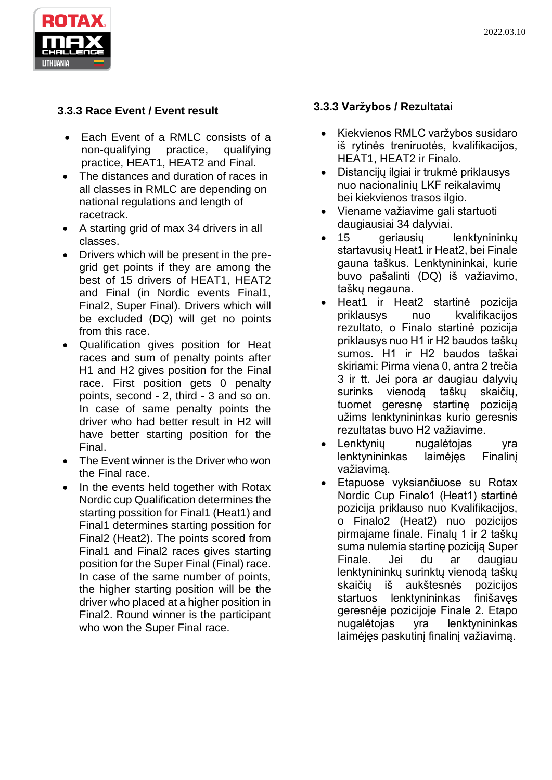

# **3.3.3 Race Event / Event result**

- Each Event of a RMLC consists of a non-qualifying practice, qualifying practice, HEAT1, HEAT2 and Final.
- The distances and duration of races in all classes in RMLC are depending on national regulations and length of racetrack.
- A starting grid of max 34 drivers in all classes.
- Drivers which will be present in the pregrid get points if they are among the best of 15 drivers of HEAT1, HEAT2 and Final (in Nordic events Final1, Final2, Super Final). Drivers which will be excluded (DQ) will get no points from this race.
- Qualification gives position for Heat races and sum of penalty points after H1 and H2 gives position for the Final race. First position gets 0 penalty points, second - 2, third - 3 and so on. In case of same penalty points the driver who had better result in H2 will have better starting position for the Final.
- The Event winner is the Driver who won the Final race.
- In the events held together with Rotax Nordic cup Qualification determines the starting possition for Final1 (Heat1) and Final1 determines starting possition for Final2 (Heat2). The points scored from Final1 and Final2 races gives starting position for the Super Final (Final) race. In case of the same number of points, the higher starting position will be the driver who placed at a higher position in Final2. Round winner is the participant who won the Super Final race.

# **3.3.3 Varžybos / Rezultatai**

- Kiekvienos RMLC varžybos susidaro iš rytinės treniruotės, kvalifikacijos, HEAT1, HEAT2 ir Finalo.
- Distancijų ilgiai ir trukmė priklausys nuo nacionalinių LKF reikalavimų bei kiekvienos trasos ilgio.
- Viename važiavime gali startuoti daugiausiai 34 dalyviai.
- 15 geriausių lenktynininkų startavusių Heat1 ir Heat2, bei Finale gauna taškus. Lenktynininkai, kurie buvo pašalinti (DQ) iš važiavimo, taškų negauna.
- Heat1 ir Heat2 startinė pozicija priklausys nuo kvalifikacijos rezultato, o Finalo startinė pozicija priklausys nuo H1 ir H2 baudos taškų sumos. H1 ir H2 baudos taškai skiriami: Pirma viena 0, antra 2 trečia 3 ir tt. Jei pora ar daugiau dalyvių surinks vienodą taškų skaičių, tuomet geresnę startinę poziciją užims lenktynininkas kurio geresnis rezultatas buvo H2 važiavime.
- Lenktynių nugalėtojas yra lenktynininkas laimėjęs Finalinį važiavimą.
- Etapuose vyksiančiuose su Rotax Nordic Cup Finalo1 (Heat1) startinė pozicija priklauso nuo Kvalifikacijos, o Finalo2 (Heat2) nuo pozicijos pirmajame finale. Finalų 1 ir 2 taškų suma nulemia startinę poziciją Super Finale. Jei du ar daugiau lenktynininkų surinktų vienodą taškų skaičių iš aukštesnės pozicijos startuos lenktynininkas finišavęs geresnėje pozicijoje Finale 2. Etapo nugalėtojas yra lenktynininkas laimėjęs paskutinį finalinį važiavimą.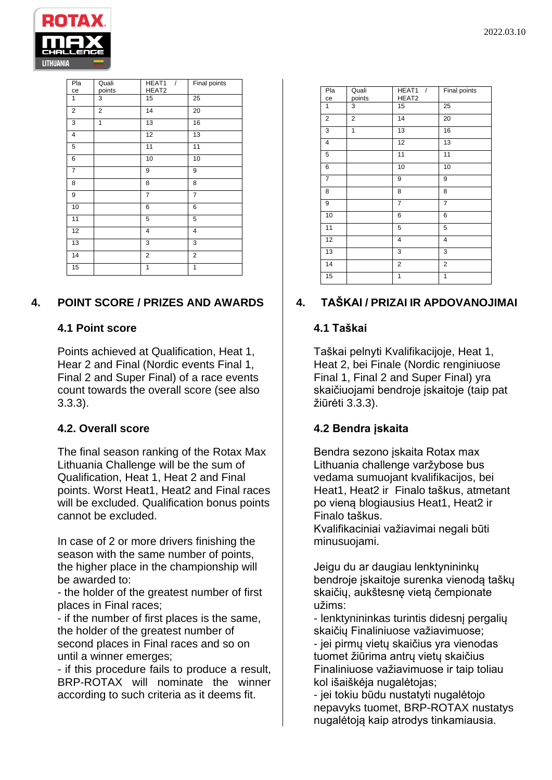

| Pla<br>ce               | Quali<br>points | HEAT1<br>$\sqrt{ }$<br>HEAT2 | Final points            |
|-------------------------|-----------------|------------------------------|-------------------------|
| $\mathbf{1}$            | 3               | 15                           | 25                      |
| $\overline{2}$          | $\overline{2}$  | 14                           | 20                      |
| $\overline{3}$          | 1               | 13                           | 16                      |
| $\overline{\mathbf{4}}$ |                 | 12                           | 13                      |
| $\mathbf 5$             |                 | 11                           | 11                      |
| 6                       |                 | 10                           | 10                      |
| $\overline{7}$          |                 | 9                            | 9                       |
| 8                       |                 | 8                            | 8                       |
| 9                       |                 | $\overline{7}$               | 7                       |
| 10                      |                 | 6                            | 6                       |
| 11                      |                 | 5                            | 5                       |
| 12                      |                 | 4                            | 4                       |
| 13                      |                 | 3                            | 3                       |
| $\overline{14}$         |                 | $\overline{\mathbf{c}}$      | $\overline{\mathbf{c}}$ |
| $\overline{15}$         |                 | 1                            | 1                       |

# **4. POINT SCORE / PRIZES AND AWARDS**

### **4.1 Point score**

Points achieved at Qualification, Heat 1, Hear 2 and Final (Nordic events Final 1, Final 2 and Super Final) of a race events count towards the overall score (see also 3.3.3).

# **4.2. Overall score**

The final season ranking of the Rotax Max Lithuania Challenge will be the sum of Qualification, Heat 1, Heat 2 and Final points. Worst Heat1, Heat2 and Final races will be excluded. Qualification bonus points cannot be excluded.

In case of 2 or more drivers finishing the season with the same number of points, the higher place in the championship will be awarded to:

- the holder of the greatest number of first places in Final races;

- if the number of first places is the same, the holder of the greatest number of second places in Final races and so on until a winner emerges;

- if this procedure fails to produce a result, BRP-ROTAX will nominate the winner according to such criteria as it deems fit.

| Pla            | Quali<br>points | HEAT <sub>1</sub><br>$\sqrt{ }$<br>HEAT2 | Final points   |
|----------------|-----------------|------------------------------------------|----------------|
| ce             |                 |                                          |                |
| 1              | 3               | 15                                       | 25             |
| $\overline{2}$ | $\overline{2}$  | 14                                       | 20             |
| 3              | 1               | 13                                       | 16             |
| 4              |                 | 12                                       | 13             |
| 5              |                 | 11                                       | 11             |
| 6              |                 | 10                                       | 10             |
| $\overline{7}$ |                 | 9                                        | 9              |
| 8              |                 | 8                                        | 8              |
| 9              |                 | $\overline{7}$                           | $\overline{7}$ |
| 10             |                 | 6                                        | 6              |
| 11             |                 | 5                                        | 5              |
| 12             |                 | 4                                        | 4              |
| 13             |                 | 3                                        | 3              |
| 14             |                 | $\overline{2}$                           | $\overline{2}$ |
| 15             |                 | 1                                        | 1              |

# **4. TAŠKAI / PRIZAI IR APDOVANOJIMAI**

### **4.1 Taškai**

Taškai pelnyti Kvalifikacijoje, Heat 1, Heat 2, bei Finale (Nordic renginiuose Final 1, Final 2 and Super Final) yra skaičiuojami bendroje įskaitoje (taip pat žiūrėti 3.3.3).

# **4.2 Bendra įskaita**

Bendra sezono įskaita Rotax max Lithuania challenge varžybose bus vedama sumuojant kvalifikacijos, bei Heat1, Heat2 ir Finalo taškus, atmetant po vieną blogiausius Heat1, Heat2 ir Finalo taškus.

Kvalifikaciniai važiavimai negali būti minusuojami.

Jeigu du ar daugiau lenktynininkų bendroje įskaitoje surenka vienodą taškų skaičių, aukštesnę vietą čempionate užims:

- lenktynininkas turintis didesnį pergalių skaičių Finaliniuose važiavimuose;

- jei pirmų vietų skaičius yra vienodas tuomet žiūrima antrų vietų skaičius Finaliniuose važiavimuose ir taip toliau kol išaiškėja nugalėtojas;

- jei tokiu būdu nustatyti nugalėtojo nepavyks tuomet, BRP-ROTAX nustatys nugalėtoją kaip atrodys tinkamiausia.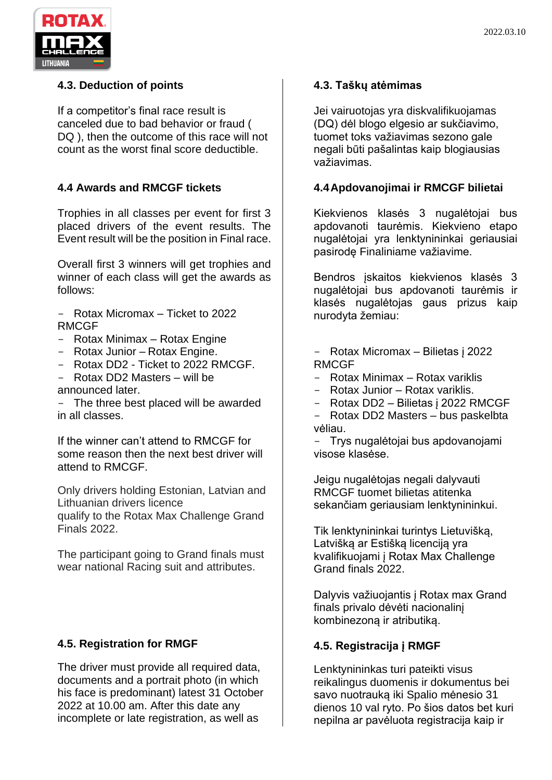

### **4.3. Deduction of points**

If a competitor's final race result is canceled due to bad behavior or fraud ( DQ ), then the outcome of this race will not count as the worst final score deductible.

### **4.4 Awards and RMCGF tickets**

Trophies in all classes per event for first 3 placed drivers of the event results. The Event result will be the position in Final race.

Overall first 3 winners will get trophies and winner of each class will get the awards as follows:

- Rotax Micromax Ticket to 2022 RMCGF
- Rotax Minimax Rotax Engine
- Rotax Junior Rotax Engine.
- Rotax DD2 Ticket to 2022 RMCGF.
- Rotax DD2 Masters will be
- announced later.

- The three best placed will be awarded in all classes.

If the winner can't attend to RMCGF for some reason then the next best driver will attend to RMCGF.

Only drivers holding Estonian, Latvian and Lithuanian drivers licence

qualify to the Rotax Max Challenge Grand Finals 2022.

The participant going to Grand finals must wear national Racing suit and attributes.

### **4.5. Registration for RMGF**

The driver must provide all required data, documents and a portrait photo (in which his face is predominant) latest 31 October 2022 at 10.00 am. After this date any incomplete or late registration, as well as

### **4.3. Taškų atėmimas**

Jei vairuotojas yra diskvalifikuojamas (DQ) dėl blogo elgesio ar sukčiavimo, tuomet toks važiavimas sezono gale negali būti pašalintas kaip blogiausias važiavimas.

### **4.4Apdovanojimai ir RMCGF bilietai**

Kiekvienos klasės 3 nugalėtojai bus apdovanoti taurėmis. Kiekvieno etapo nugalėtojai yra lenktynininkai geriausiai pasirodę Finaliniame važiavime.

Bendros įskaitos kiekvienos klasės 3 nugalėtojai bus apdovanoti taurėmis ir klasės nugalėtojas gaus prizus kaip nurodyta žemiau:

- Rotax Micromax Bilietas į 2022 RMCGF
- Rotax Minimax Rotax variklis
- Rotax Junior Rotax variklis.
- Rotax DD2 Bilietas į 2022 RMCGF
- Rotax DD2 Masters bus paskelbta vėliau.

- Trys nugalėtojai bus apdovanojami visose klasėse.

Jeigu nugalėtojas negali dalyvauti RMCGF tuomet bilietas atitenka sekančiam geriausiam lenktynininkui.

Tik lenktynininkai turintys Lietuvišką, Latvišką ar Estišką licenciją yra kvalifikuojami į Rotax Max Challenge Grand finals 2022.

Dalyvis važiuojantis į Rotax max Grand finals privalo dėvėti nacionalinį kombinezoną ir atributiką.

### **4.5. Registracija į RMGF**

Lenktynininkas turi pateikti visus reikalingus duomenis ir dokumentus bei savo nuotrauką iki Spalio mėnesio 31 dienos 10 val ryto. Po šios datos bet kuri nepilna ar pavėluota registracija kaip ir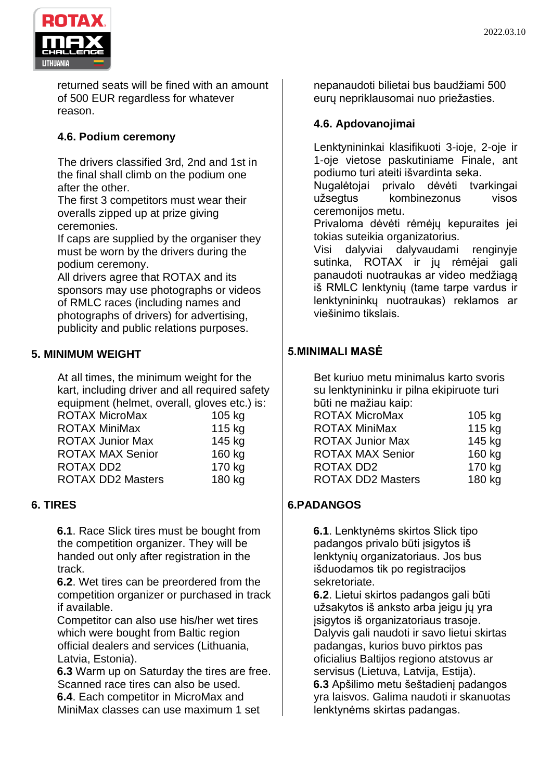

returned seats will be fined with an amount of 500 EUR regardless for whatever reason.

# **4.6. Podium ceremony**

The drivers classified 3rd, 2nd and 1st in the final shall climb on the podium one after the other.

The first 3 competitors must wear their overalls zipped up at prize giving ceremonies.

If caps are supplied by the organiser they must be worn by the drivers during the podium ceremony.

All drivers agree that ROTAX and its sponsors may use photographs or videos of RMLC races (including names and photographs of drivers) for advertising, publicity and public relations purposes.

# **5. MINIMUM WEIGHT**

At all times, the minimum weight for the kart, including driver and all required safety equipment (helmet, overall, gloves etc.) is:

| <b>ROTAX MicroMax</b>    | 105 kg |
|--------------------------|--------|
| <b>ROTAX MiniMax</b>     | 115 kg |
| <b>ROTAX Junior Max</b>  | 145 kg |
| <b>ROTAX MAX Senior</b>  | 160 kg |
| <b>ROTAX DD2</b>         | 170 kg |
| <b>ROTAX DD2 Masters</b> | 180 kg |
|                          |        |

### **6. TIRES**

**6.1**. Race Slick tires must be bought from the competition organizer. They will be handed out only after registration in the track.

**6.2**. Wet tires can be preordered from the competition organizer or purchased in track if available.

Competitor can also use his/her wet tires which were bought from Baltic region official dealers and services (Lithuania, Latvia, Estonia).

**6.3** Warm up on Saturday the tires are free. Scanned race tires can also be used.

**6.4**. Each competitor in MicroMax and MiniMax classes can use maximum 1 set nepanaudoti bilietai bus baudžiami 500 eurų nepriklausomai nuo priežasties.

### **4.6. Apdovanojimai**

Lenktynininkai klasifikuoti 3-ioje, 2-oje ir 1-oje vietose paskutiniame Finale, ant podiumo turi ateiti išvardinta seka.

Nugalėtojai privalo dėvėti tvarkingai užsegtus kombinezonus visos ceremonijos metu.

Privaloma dėvėti rėmėjų kepuraites jei tokias suteikia organizatorius.

Visi dalyviai dalyvaudami renginyje sutinka, ROTAX ir jų rėmėjai gali panaudoti nuotraukas ar video medžiagą iš RMLC lenktynių (tame tarpe vardus ir lenktynininkų nuotraukas) reklamos ar viešinimo tikslais.

### **5.MINIMALI MASĖ**

Bet kuriuo metu minimalus karto svoris su lenktynininku ir pilna ekipiruote turi būti ne mažiau kaip: ROTAX MicroMax 105 kg ROTAX MiniMax 115 kg ROTAX Junior Max 145 kg ROTAX MAX Senior 160 kg ROTAX DD2 170 kg ROTAX DD2 Masters 180 kg

### **6.PADANGOS**

**6.1**. Lenktynėms skirtos Slick tipo padangos privalo būti įsigytos iš lenktynių organizatoriaus. Jos bus išduodamos tik po registracijos sekretoriate.

**6.2**. Lietui skirtos padangos gali būti užsakytos iš anksto arba jeigu jų yra įsigytos iš organizatoriaus trasoje. Dalyvis gali naudoti ir savo lietui skirtas padangas, kurios buvo pirktos pas oficialius Baltijos regiono atstovus ar servisus (Lietuva, Latvija, Estija). **6.3** Apšilimo metu šeštadienį padangos yra laisvos. Galima naudoti ir skanuotas

lenktynėms skirtas padangas.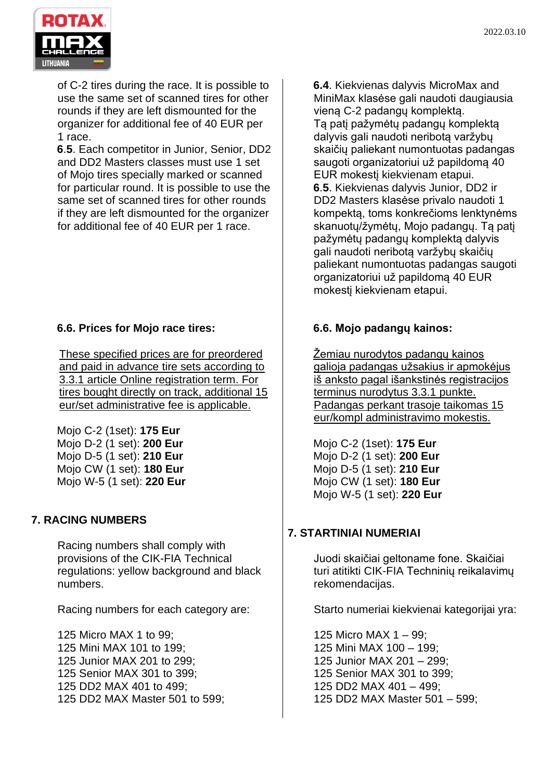

of C-2 tires during the race. It is possible to use the same set of scanned tires for other rounds if they are left dismounted for the organizer for additional fee of 40 EUR per 1 race.

**6**.**5**. Each competitor in Junior, Senior, DD2 and DD2 Masters classes must use 1 set of Mojo tires specially marked or scanned for particular round. It is possible to use the same set of scanned tires for other rounds if they are left dismounted for the organizer for additional fee of 40 EUR per 1 race.

# **6.6. Prices for Mojo race tires:**

These specified prices are for preordered and paid in advance tire sets according to 3.3.1 article Online registration term. For tires bought directly on track, additional 15 eur/set administrative fee is applicable.

Mojo C-2 (1set): **175 Eur** Mojo D-2 (1 set): **200 Eur** Mojo D-5 (1 set): **210 Eur** Mojo CW (1 set): **180 Eur** Mojo W-5 (1 set): **220 Eur**

# **7. RACING NUMBERS**

Racing numbers shall comply with provisions of the CIK-FIA Technical regulations: yellow background and black numbers.

Racing numbers for each category are:

125 Micro MAX 1 to 99; 125 Mini MAX 101 to 199; 125 Junior MAX 201 to 299; 125 Senior MAX 301 to 399; 125 DD2 MAX 401 to 499; 125 DD2 MAX Master 501 to 599; **6.4**. Kiekvienas dalyvis MicroMax and MiniMax klasėse gali naudoti daugiausia vieną C-2 padangų komplektą. Tą patį pažymėtų padangų komplektą dalyvis gali naudoti neribotą varžybų skaičių paliekant numontuotas padangas saugoti organizatoriui už papildomą 40 EUR mokestį kiekvienam etapui. **6**.**5**. Kiekvienas dalyvis Junior, DD2 ir DD2 Masters klasėse privalo naudoti 1 kompektą, toms konkrečioms lenktynėms skanuotų/žymėtų, Mojo padangų. Tą patį pažymėtų padangų komplektą dalyvis gali naudoti neribotą varžybų skaičių paliekant numontuotas padangas saugoti organizatoriui už papildomą 40 EUR mokestį kiekvienam etapui.

# **6.6. Mojo padangų kainos:**

Žemiau nurodytos padangų kainos galioja padangas užsakius ir apmokėjus iš anksto pagal išankstinės registracijos terminus nurodytus 3.3.1 punkte. Padangas perkant trasoje taikomas 15 eur/kompl administravimo mokestis.

Mojo C-2 (1set): **175 Eur** Mojo D-2 (1 set): **200 Eur** Mojo D-5 (1 set): **210 Eur** Mojo CW (1 set): **180 Eur** Mojo W-5 (1 set): **220 Eur**

# **7. STARTINIAI NUMERIAI**

Juodi skaičiai geltoname fone. Skaičiai turi atitikti CIK-FIA Techninių reikalavimų rekomendacijas.

Starto numeriai kiekvienai kategorijai yra:

125 Micro MAX 1 – 99; 125 Mini MAX 100 – 199; 125 Junior MAX 201 – 299; 125 Senior MAX 301 to 399; 125 DD2 MAX 401 – 499; 125 DD2 MAX Master 501 – 599;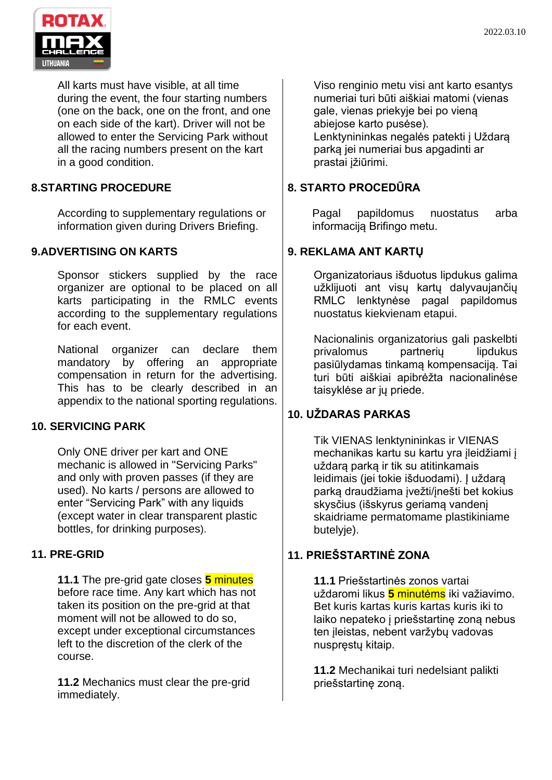

All karts must have visible, at all time during the event, the four starting numbers (one on the back, one on the front, and one on each side of the kart). Driver will not be allowed to enter the Servicing Park without all the racing numbers present on the kart in a good condition.

# **8.STARTING PROCEDURE**

According to supplementary regulations or information given during Drivers Briefing.

### **9.ADVERTISING ON KARTS**

Sponsor stickers supplied by the race organizer are optional to be placed on all karts participating in the RMLC events according to the supplementary regulations for each event.

National organizer can declare them mandatory by offering an appropriate compensation in return for the advertising. This has to be clearly described in an appendix to the national sporting regulations.

### **10. SERVICING PARK**

Only ONE driver per kart and ONE mechanic is allowed in "Servicing Parks" and only with proven passes (if they are used). No karts / persons are allowed to enter "Servicing Park" with any liquids (except water in clear transparent plastic bottles, for drinking purposes).

### **11. PRE-GRID**

**11.1** The pre-grid gate closes **5** minutes before race time. Any kart which has not taken its position on the pre-grid at that moment will not be allowed to do so, except under exceptional circumstances left to the discretion of the clerk of the course.

**11.2** Mechanics must clear the pre-grid immediately.

Viso renginio metu visi ant karto esantys numeriai turi būti aiškiai matomi (vienas gale, vienas priekyje bei po vieną abiejose karto pusėse). Lenktynininkas negalės patekti į Uždarą parką jei numeriai bus apgadinti ar prastai įžiūrimi.

### **8. STARTO PROCEDŪRA**

Pagal papildomus nuostatus arba informaciją Brifingo metu.

### **9. REKLAMA ANT KARTŲ**

Organizatoriaus išduotus lipdukus galima užklijuoti ant visų kartų dalyvaujančių RMLC lenktynėse pagal papildomus nuostatus kiekvienam etapui.

Nacionalinis organizatorius gali paskelbti privalomus partneriu lipdukus pasiūlydamas tinkamą kompensaciją. Tai turi būti aiškiai apibrėžta nacionalinėse taisyklėse ar jų priede.

# **10. UŽDARAS PARKAS**

Tik VIENAS lenktynininkas ir VIENAS mechanikas kartu su kartu yra įleidžiami į uždarą parką ir tik su atitinkamais leidimais (jei tokie išduodami). Į uždarą parką draudžiama įvežti/įnešti bet kokius skysčius (išskyrus geriamą vandenį skaidriame permatomame plastikiniame butelvie).

# **11. PRIEŠSTARTINĖ ZONA**

**11.1** Priešstartinės zonos vartai uždaromi likus **5** minutėms iki važiavimo. Bet kuris kartas kuris kartas kuris iki to laiko nepateko į priešstartinę zoną nebus ten įleistas, nebent varžybų vadovas nuspręstų kitaip.

**11.2** Mechanikai turi nedelsiant palikti priešstartinę zoną.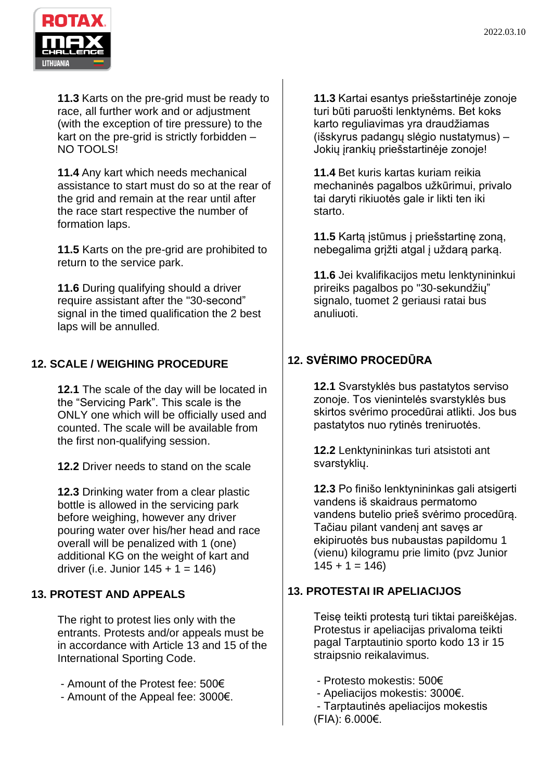

**11.3** Karts on the pre-grid must be ready to race, all further work and or adjustment (with the exception of tire pressure) to the kart on the pre-grid is strictly forbidden – NO TOOLS!

**11.4** Any kart which needs mechanical assistance to start must do so at the rear of the grid and remain at the rear until after the race start respective the number of formation laps.

**11.5** Karts on the pre-grid are prohibited to return to the service park.

**11.6** During qualifying should a driver require assistant after the "30-second" signal in the timed qualification the 2 best laps will be annulled.

# **12. SCALE / WEIGHING PROCEDURE**

**12.1** The scale of the day will be located in the "Servicing Park". This scale is the ONLY one which will be officially used and counted. The scale will be available from the first non-qualifying session.

**12.2** Driver needs to stand on the scale

**12.3** Drinking water from a clear plastic bottle is allowed in the servicing park before weighing, however any driver pouring water over his/her head and race overall will be penalized with 1 (one) additional KG on the weight of kart and driver (i.e. Junior  $145 + 1 = 146$ )

# **13. PROTEST AND APPEALS**

The right to protest lies only with the entrants. Protests and/or appeals must be in accordance with Article 13 and 15 of the International Sporting Code.

- Amount of the Protest fee: 500€

- Amount of the Appeal fee: 3000€.

**11.3** Kartai esantys priešstartinėje zonoje turi būti paruošti lenktynėms. Bet koks karto reguliavimas yra draudžiamas (išskyrus padangų slėgio nustatymus) – Jokių įrankių priešstartinėje zonoje!

**11.4** Bet kuris kartas kuriam reikia mechaninės pagalbos užkūrimui, privalo tai daryti rikiuotės gale ir likti ten iki starto.

**11.5** Kartą įstūmus į priešstartinę zoną, nebegalima grįžti atgal į uždarą parką.

**11.6** Jei kvalifikacijos metu lenktynininkui prireiks pagalbos po "30-sekundžių" signalo, tuomet 2 geriausi ratai bus anuliuoti.

# **12. SVĖRIMO PROCEDŪRA**

**12.1** Svarstyklės bus pastatytos serviso zonoje. Tos vienintelės svarstyklės bus skirtos svėrimo procedūrai atlikti. Jos bus pastatytos nuo rytinės treniruotės.

**12.2** Lenktynininkas turi atsistoti ant svarstyklių.

**12.3** Po finišo lenktynininkas gali atsigerti vandens iš skaidraus permatomo vandens butelio prieš svėrimo procedūrą. Tačiau pilant vandenį ant savęs ar ekipiruotės bus nubaustas papildomu 1 (vienu) kilogramu prie limito (pvz Junior  $145 + 1 = 146$ 

# **13. PROTESTAI IR APELIACIJOS**

Teisę teikti protestą turi tiktai pareiškėjas. Protestus ir apeliacijas privaloma teikti pagal Tarptautinio sporto kodo 13 ir 15 straipsnio reikalavimus.

- Protesto mokestis: 500€
- Apeliacijos mokestis: 3000€.
- Tarptautinės apeliacijos mokestis (FIA): 6.000€.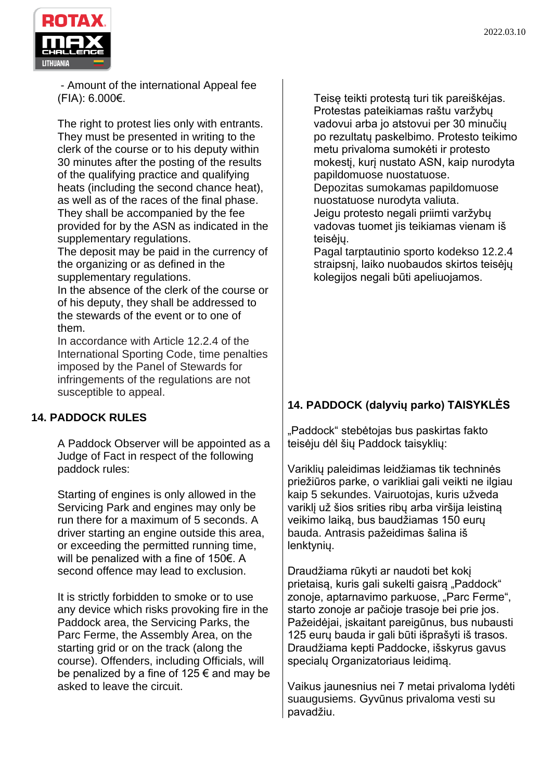

- Amount of the international Appeal fee (FIA): 6.000€.

The right to protest lies only with entrants. They must be presented in writing to the clerk of the course or to his deputy within 30 minutes after the posting of the results of the qualifying practice and qualifying heats (including the second chance heat), as well as of the races of the final phase. They shall be accompanied by the fee provided for by the ASN as indicated in the supplementary regulations.

The deposit may be paid in the currency of the organizing or as defined in the supplementary regulations.

In the absence of the clerk of the course or of his deputy, they shall be addressed to the stewards of the event or to one of them.

In accordance with Article 12.2.4 of the International Sporting Code, time penalties imposed by the Panel of Stewards for infringements of the regulations are not susceptible to appeal.

# **14. PADDOCK RULES**

A Paddock Observer will be appointed as a Judge of Fact in respect of the following paddock rules:

Starting of engines is only allowed in the Servicing Park and engines may only be run there for a maximum of 5 seconds. A driver starting an engine outside this area, or exceeding the permitted running time, will be penalized with a fine of 150€. A second offence may lead to exclusion.

It is strictly forbidden to smoke or to use any device which risks provoking fire in the Paddock area, the Servicing Parks, the Parc Ferme, the Assembly Area, on the starting grid or on the track (along the course). Offenders, including Officials, will be penalized by a fine of 125  $\epsilon$  and may be asked to leave the circuit.

Teisę teikti protestą turi tik pareiškėjas. Protestas pateikiamas raštu varžybų vadovui arba jo atstovui per 30 minučių po rezultatų paskelbimo. Protesto teikimo metu privaloma sumokėti ir protesto mokestį, kurį nustato ASN, kaip nurodyta papildomuose nuostatuose.

Depozitas sumokamas papildomuose nuostatuose nurodyta valiuta.

Jeigu protesto negali priimti varžybų vadovas tuomet jis teikiamas vienam iš teisėjų.

Pagal tarptautinio sporto kodekso 12.2.4 straipsnį, laiko nuobaudos skirtos teisėjų kolegijos negali būti apeliuojamos.

# **14. PADDOCK (dalyvių parko) TAISYKLĖS**

"Paddock" stebėtojas bus paskirtas fakto teisėju dėl šių Paddock taisyklių:

Variklių paleidimas leidžiamas tik techninės priežiūros parke, o varikliai gali veikti ne ilgiau kaip 5 sekundes. Vairuotojas, kuris užveda variklį už šios srities ribų arba viršija leistiną veikimo laiką, bus baudžiamas 150 eurų bauda. Antrasis pažeidimas šalina iš lenktynių.

Draudžiama rūkyti ar naudoti bet kokį prietaisa, kuris gali sukelti gaisra "Paddock" zonoje, aptarnavimo parkuose, "Parc Ferme", starto zonoje ar pačioje trasoje bei prie jos. Pažeidėjai, įskaitant pareigūnus, bus nubausti 125 eurų bauda ir gali būti išprašyti iš trasos. Draudžiama kepti Paddocke, išskyrus gavus specialų Organizatoriaus leidimą.

Vaikus jaunesnius nei 7 metai privaloma lydėti suaugusiems. Gyvūnus privaloma vesti su pavadžiu.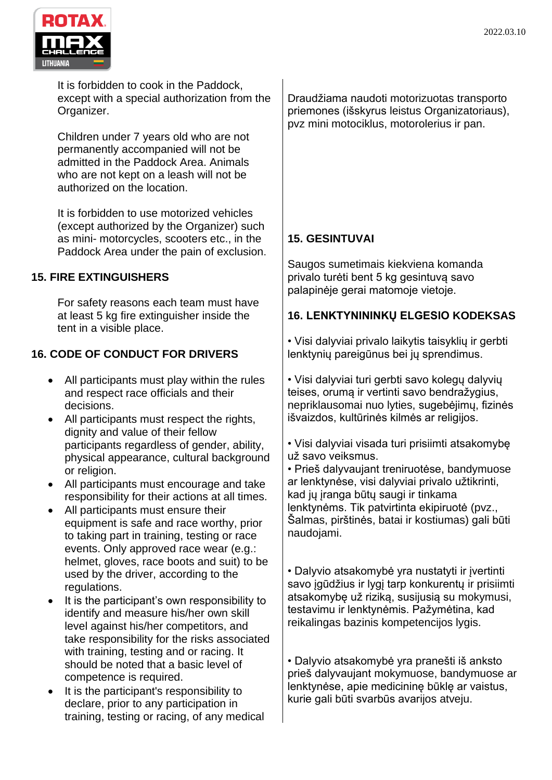

It is forbidden to cook in the Paddock, except with a special authorization from the Organizer.

Children under 7 years old who are not permanently accompanied will not be admitted in the Paddock Area. Animals who are not kept on a leash will not be authorized on the location.

It is forbidden to use motorized vehicles (except authorized by the Organizer) such as mini- motorcycles, scooters etc., in the Paddock Area under the pain of exclusion.

# **15. FIRE EXTINGUISHERS**

For safety reasons each team must have at least 5 kg fire extinguisher inside the tent in a visible place.

# **16. CODE OF CONDUCT FOR DRIVERS**

- All participants must play within the rules and respect race officials and their decisions.
- All participants must respect the rights, dignity and value of their fellow participants regardless of gender, ability, physical appearance, cultural background or religion.
- All participants must encourage and take responsibility for their actions at all times.
- All participants must ensure their equipment is safe and race worthy, prior to taking part in training, testing or race events. Only approved race wear (e.g.: helmet, gloves, race boots and suit) to be used by the driver, according to the regulations.
- It is the participant's own responsibility to identify and measure his/her own skill level against his/her competitors, and take responsibility for the risks associated with training, testing and or racing. It should be noted that a basic level of competence is required.
- It is the participant's responsibility to declare, prior to any participation in training, testing or racing, of any medical

Draudžiama naudoti motorizuotas transporto priemones (išskyrus leistus Organizatoriaus), pvz mini motociklus, motorolerius ir pan.

# **15. GESINTUVAI**

Saugos sumetimais kiekviena komanda privalo turėti bent 5 kg gesintuvą savo palapinėje gerai matomoje vietoje.

### **16. LENKTYNININKŲ ELGESIO KODEKSAS**

• Visi dalyviai privalo laikytis taisyklių ir gerbti lenktynių pareigūnus bei jų sprendimus.

• Visi dalyviai turi gerbti savo kolegų dalyvių teises, orumą ir vertinti savo bendražygius, nepriklausomai nuo lyties, sugebėjimų, fizinės išvaizdos, kultūrinės kilmės ar religijos.

• Visi dalyviai visada turi prisiimti atsakomybę už savo veiksmus.

• Prieš dalyvaujant treniruotėse, bandymuose ar lenktynėse, visi dalyviai privalo užtikrinti, kad jų įranga būtų saugi ir tinkama lenktynėms. Tik patvirtinta ekipiruotė (pvz., Šalmas, pirštinės, batai ir kostiumas) gali būti naudojami.

• Dalyvio atsakomybė yra nustatyti ir įvertinti savo įgūdžius ir lygį tarp konkurentų ir prisiimti atsakomybę už riziką, susijusią su mokymusi, testavimu ir lenktynėmis. Pažymėtina, kad reikalingas bazinis kompetencijos lygis.

• Dalyvio atsakomybė yra pranešti iš anksto prieš dalyvaujant mokymuose, bandymuose ar lenktynėse, apie medicininę būklę ar vaistus, kurie gali būti svarbūs avarijos atveju.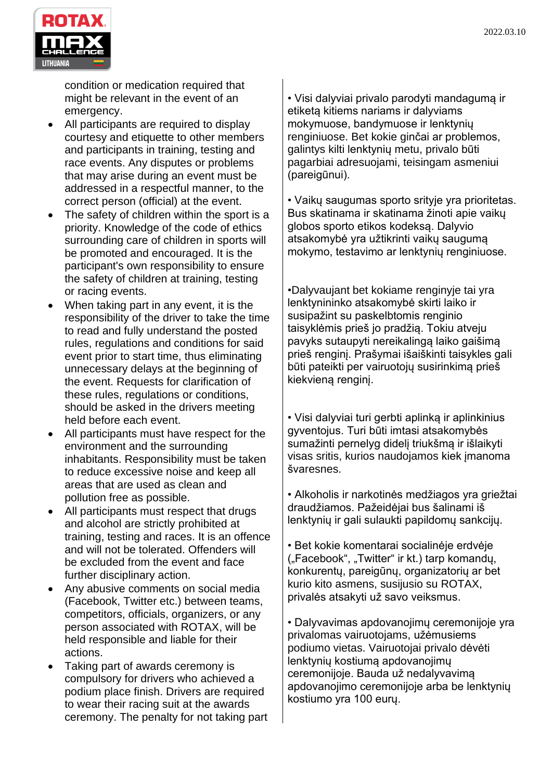

condition or medication required that might be relevant in the event of an emergency.

- All participants are required to display courtesy and etiquette to other members and participants in training, testing and race events. Any disputes or problems that may arise during an event must be addressed in a respectful manner, to the correct person (official) at the event.
- The safety of children within the sport is a priority. Knowledge of the code of ethics surrounding care of children in sports will be promoted and encouraged. It is the participant's own responsibility to ensure the safety of children at training, testing or racing events.
- When taking part in any event, it is the responsibility of the driver to take the time to read and fully understand the posted rules, regulations and conditions for said event prior to start time, thus eliminating unnecessary delays at the beginning of the event. Requests for clarification of these rules, regulations or conditions, should be asked in the drivers meeting held before each event.
- All participants must have respect for the environment and the surrounding inhabitants. Responsibility must be taken to reduce excessive noise and keep all areas that are used as clean and pollution free as possible.
- All participants must respect that drugs and alcohol are strictly prohibited at training, testing and races. It is an offence and will not be tolerated. Offenders will be excluded from the event and face further disciplinary action.
- Any abusive comments on social media (Facebook, Twitter etc.) between teams, competitors, officials, organizers, or any person associated with ROTAX, will be held responsible and liable for their actions.
- Taking part of awards ceremony is compulsory for drivers who achieved a podium place finish. Drivers are required to wear their racing suit at the awards ceremony. The penalty for not taking part

• Visi dalyviai privalo parodyti mandagumą ir etiketą kitiems nariams ir dalyviams mokymuose, bandymuose ir lenktynių renginiuose. Bet kokie ginčai ar problemos, galintys kilti lenktynių metu, privalo būti pagarbiai adresuojami, teisingam asmeniui (pareigūnui).

• Vaikų saugumas sporto srityje yra prioritetas. Bus skatinama ir skatinama žinoti apie vaikų globos sporto etikos kodeksą. Dalyvio atsakomybė yra užtikrinti vaikų saugumą mokymo, testavimo ar lenktynių renginiuose.

•Dalyvaujant bet kokiame renginyje tai yra lenktynininko atsakomybė skirti laiko ir susipažint su paskelbtomis renginio taisyklėmis prieš jo pradžią. Tokiu atveju pavyks sutaupyti nereikalingą laiko gaišimą prieš renginį. Prašymai išaiškinti taisykles gali būti pateikti per vairuotojų susirinkimą prieš kiekvieną renginį.

• Visi dalyviai turi gerbti aplinką ir aplinkinius gyventojus. Turi būti imtasi atsakomybės sumažinti pernelyg didelį triukšmą ir išlaikyti visas sritis, kurios naudojamos kiek įmanoma švaresnes.

• Alkoholis ir narkotinės medžiagos yra griežtai draudžiamos. Pažeidėjai bus šalinami iš lenktynių ir gali sulaukti papildomų sankcijų.

• Bet kokie komentarai socialinėje erdvėje ("Facebook", "Twitter" ir kt.) tarp komandų, konkurentų, pareigūnų, organizatorių ar bet kurio kito asmens, susijusio su ROTAX, privalės atsakyti už savo veiksmus.

• Dalyvavimas apdovanojimų ceremonijoje yra privalomas vairuotojams, užėmusiems podiumo vietas. Vairuotojai privalo dėvėti lenktynių kostiumą apdovanojimų ceremonijoje. Bauda už nedalyvavimą apdovanojimo ceremonijoje arba be lenktynių kostiumo yra 100 eurų.